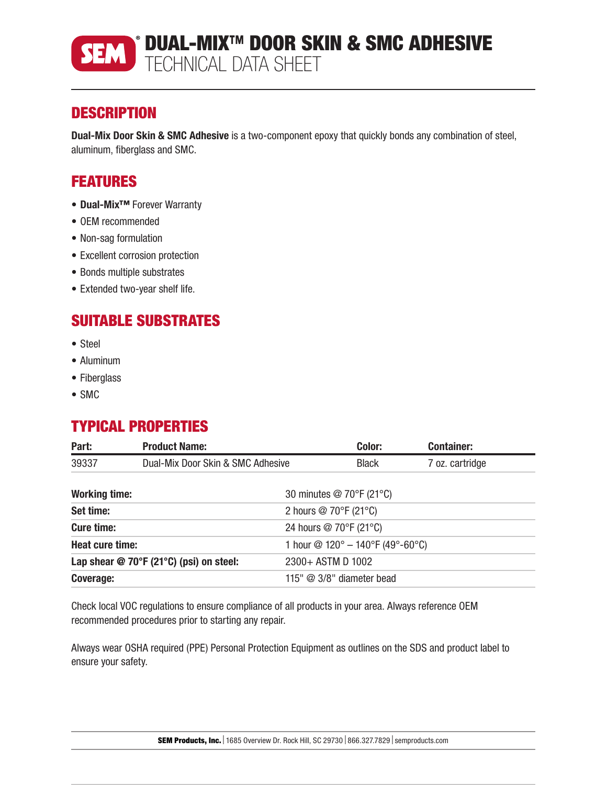

# **DESCRIPTION**

Dual-Mix Door Skin & SMC Adhesive is a two-component epoxy that quickly bonds any combination of steel, aluminum, fiberglass and SMC.

# FEATURES

- Dual-Mix™ Forever Warranty
- OEM recommended
- Non-sag formulation
- Excellent corrosion protection
- Bonds multiple substrates
- Extended two-year shelf life.

# SUITABLE SUBSTRATES

- Steel
- Aluminum
- Fiberglass
- SMC

# TYPICAL PROPERTIES

| Part:                | <b>Product Name:</b>                      |                                                  | Color:       | <b>Container:</b> |
|----------------------|-------------------------------------------|--------------------------------------------------|--------------|-------------------|
| 39337                | Dual-Mix Door Skin & SMC Adhesive         |                                                  | <b>Black</b> | 7 oz. cartridge   |
| <b>Working time:</b> |                                           | 30 minutes @ 70°F (21°C)                         |              |                   |
| Set time:            |                                           | 2 hours $@$ 70 $\degree$ F (21 $\degree$ C)      |              |                   |
| <b>Cure time:</b>    |                                           | 24 hours @ 70°F (21°C)                           |              |                   |
| Heat cure time:      |                                           | 1 hour $\textcircled{2}$ 120° - 140°F (49°-60°C) |              |                   |
|                      | Lap shear $@$ 70°F (21°C) (psi) on steel: | 2300+ ASTM D 1002                                |              |                   |
| Coverage:            |                                           | 115" $@$ 3/8" diameter bead                      |              |                   |

Check local VOC regulations to ensure compliance of all products in your area. Always reference OEM recommended procedures prior to starting any repair.

Always wear OSHA required (PPE) Personal Protection Equipment as outlines on the SDS and product label to ensure your safety.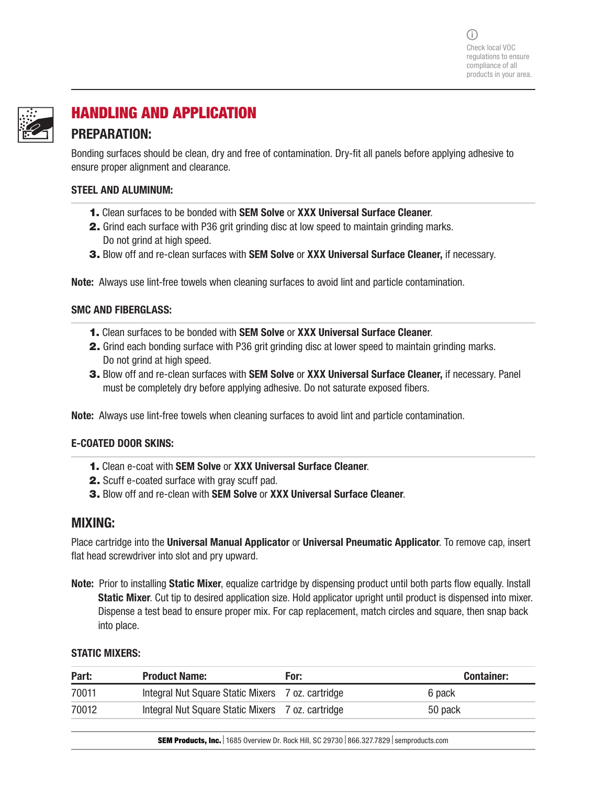

# HANDLING AND APPLICATION

## PREPARATION: Bonding surfaces should be clean, dry and free of contamination. Dry-fit all panels before applying adhesive to ensure proper alignment and clearance.

#### STEEL AND ALUMINUM:

- 1. Clean surfaces to be bonded with SEM Solve or XXX Universal Surface Cleaner.
- 2. Grind each surface with P36 grit grinding disc at low speed to maintain grinding marks. Do not grind at high speed.
- **3.** Blow off and re-clean surfaces with **SEM Solve or XXX Universal Surface Cleaner**, if necessary.

Note: Always use lint-free towels when cleaning surfaces to avoid lint and particle contamination.

#### SMC AND FIBERGLASS:

- 1. Clean surfaces to be bonded with SEM Solve or XXX Universal Surface Cleaner.
- 2. Grind each bonding surface with P36 grit grinding disc at lower speed to maintain grinding marks. Do not grind at high speed.
- 3. Blow off and re-clean surfaces with SEM Solve or XXX Universal Surface Cleaner, if necessary. Panel must be completely dry before applying adhesive. Do not saturate exposed fibers.

Note: Always use lint-free towels when cleaning surfaces to avoid lint and particle contamination.

#### E-COATED DOOR SKINS:

- 1. Clean e-coat with SEM Solve or XXX Universal Surface Cleaner.
- 2. Scuff e-coated surface with gray scuff pad.
- 3. Blow off and re-clean with SEM Solve or XXX Universal Surface Cleaner.

## MIXING:

Place cartridge into the Universal Manual Applicator or Universal Pneumatic Applicator. To remove cap, insert flat head screwdriver into slot and pry upward.

Note: Prior to installing Static Mixer, equalize cartridge by dispensing product until both parts flow equally. Install Static Mixer. Cut tip to desired application size. Hold applicator upright until product is dispensed into mixer. Dispense a test bead to ensure proper mix. For cap replacement, match circles and square, then snap back into place.

#### STATIC MIXERS:

| Part: | <b>Product Name:</b>                              | For: | <b>Container:</b> |
|-------|---------------------------------------------------|------|-------------------|
| 70011 | Integral Nut Square Static Mixers 7 oz. cartridge |      | 6 pack            |
| 70012 | Integral Nut Square Static Mixers 7 oz. cartridge |      | 50 pack           |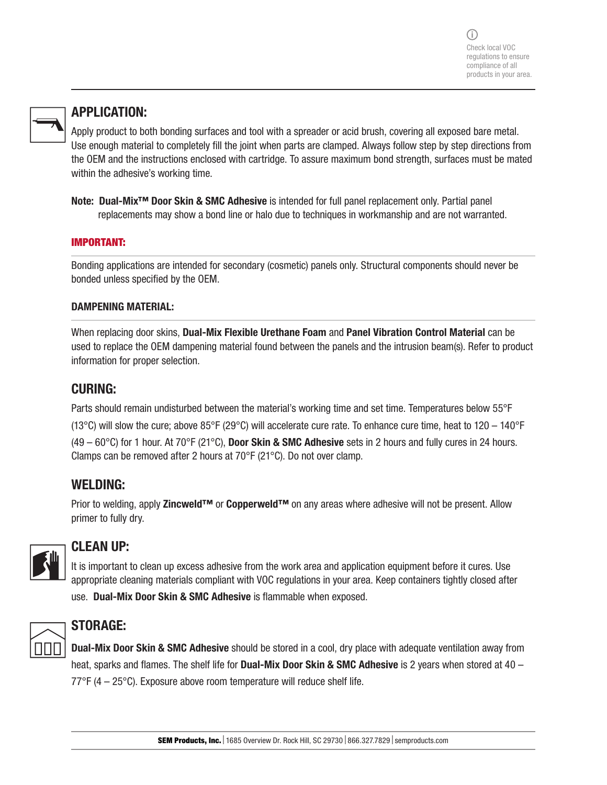

# APPLICATION:

Apply product to both bonding surfaces and tool with a spreader or acid brush, covering all exposed bare metal. Use enough material to completely fill the joint when parts are clamped. Always follow step by step directions from the OEM and the instructions enclosed with cartridge. To assure maximum bond strength, surfaces must be mated within the adhesive's working time.

Note: Dual-Mix<sup>™</sup> Door Skin & SMC Adhesive is intended for full panel replacement only. Partial panel replacements may show a bond line or halo due to techniques in workmanship and are not warranted.

#### IMPORTANT:

Bonding applications are intended for secondary (cosmetic) panels only. Structural components should never be bonded unless specified by the OEM.

#### DAMPENING MATERIAL:

When replacing door skins, Dual-Mix Flexible Urethane Foam and Panel Vibration Control Material can be used to replace the OEM dampening material found between the panels and the intrusion beam(s). Refer to product information for proper selection.

# CURING:

Parts should remain undisturbed between the material's working time and set time. Temperatures below 55°F (13°C) will slow the cure; above 85°F (29°C) will accelerate cure rate. To enhance cure time, heat to 120 – 140°F (49 – 60 $^{\circ}$ C) for 1 hour. At 70 $^{\circ}$ F (21 $^{\circ}$ C), Door Skin & SMC Adhesive sets in 2 hours and fully cures in 24 hours. Clamps can be removed after 2 hours at 70°F (21°C). Do not over clamp.

# WELDING:

Prior to welding, apply Zincweld™ or Copperweld™ on any areas where adhesive will not be present. Allow primer to fully dry.



# CLEAN UP:

It is important to clean up excess adhesive from the work area and application equipment before it cures. Use appropriate cleaning materials compliant with VOC regulations in your area. Keep containers tightly closed after use. Dual-Mix Door Skin & SMC Adhesive is flammable when exposed.



# STORAGE:

**Dual-Mix Door Skin & SMC Adhesive** should be stored in a cool, dry place with adequate ventilation away from heat, sparks and flames. The shelf life for Dual-Mix Door Skin & SMC Adhesive is 2 years when stored at 40 – 77°F (4 – 25°C). Exposure above room temperature will reduce shelf life.